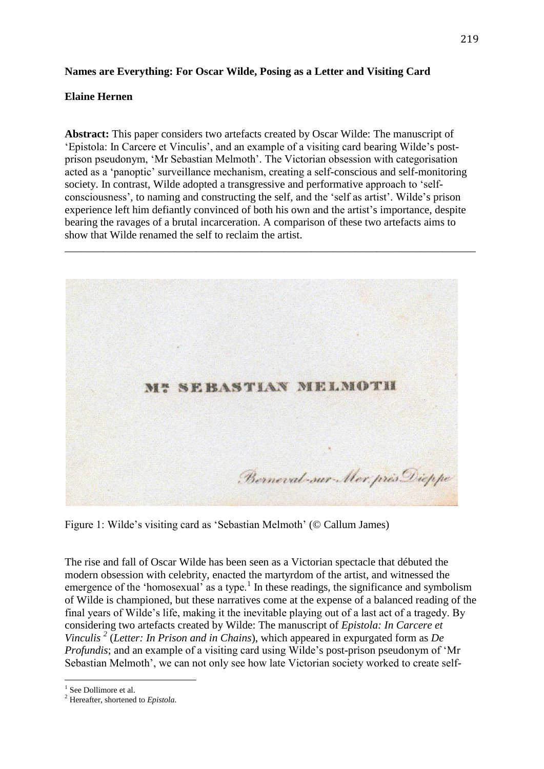# **Names are Everything: For Oscar Wilde, Posing as a Letter and Visiting Card**

## **Elaine Hernen**

**Abstract:** This paper considers two artefacts created by Oscar Wilde: The manuscript of 'Epistola: In Carcere et Vinculis', and an example of a visiting card bearing Wilde's postprison pseudonym, 'Mr Sebastian Melmoth'. The Victorian obsession with categorisation acted as a 'panoptic' surveillance mechanism, creating a self-conscious and self-monitoring society. In contrast, Wilde adopted a transgressive and performative approach to 'selfconsciousness', to naming and constructing the self, and the 'self as artist'. Wilde's prison experience left him defiantly convinced of both his own and the artist's importance, despite bearing the ravages of a brutal incarceration. A comparison of these two artefacts aims to show that Wilde renamed the self to reclaim the artist.

\_\_\_\_\_\_\_\_\_\_\_\_\_\_\_\_\_\_\_\_\_\_\_\_\_\_\_\_\_\_\_\_\_\_\_\_\_\_\_\_\_\_\_\_\_\_\_\_\_\_\_\_\_\_\_\_\_\_\_\_\_\_\_\_\_\_\_\_\_\_\_\_\_\_\_



Figure 1: Wilde's visiting card as 'Sebastian Melmoth' (© Callum James)

The rise and fall of Oscar Wilde has been seen as a Victorian spectacle that débuted the modern obsession with celebrity, enacted the martyrdom of the artist, and witnessed the emergence of the 'homosexual' as a type.<sup>1</sup> In these readings, the significance and symbolism of Wilde is championed, but these narratives come at the expense of a balanced reading of the final years of Wilde's life, making it the inevitable playing out of a last act of a tragedy. By considering two artefacts created by Wilde: The manuscript of *Epistola: In Carcere et Vinculis <sup>2</sup>* (*Letter: In Prison and in Chains*), which appeared in expurgated form as *De Profundis*; and an example of a visiting card using Wilde's post-prison pseudonym of 'Mr Sebastian Melmoth', we can not only see how late Victorian society worked to create self-

<sup>&</sup>lt;sup>1</sup> See Dollimore et al.

<sup>2</sup> Hereafter, shortened to *Epistola.*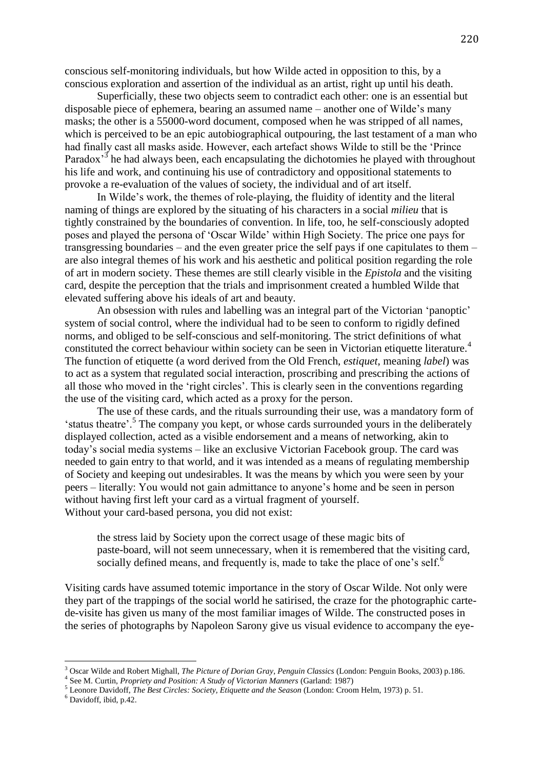conscious self-monitoring individuals, but how Wilde acted in opposition to this, by a conscious exploration and assertion of the individual as an artist, right up until his death.

Superficially, these two objects seem to contradict each other: one is an essential but disposable piece of ephemera, bearing an assumed name – another one of Wilde's many masks; the other is a 55000-word document, composed when he was stripped of all names, which is perceived to be an epic autobiographical outpouring, the last testament of a man who had finally cast all masks aside. However, each artefact shows Wilde to still be the 'Prince Paradox<sup>3</sup> he had always been, each encapsulating the dichotomies he played with throughout his life and work, and continuing his use of contradictory and oppositional statements to provoke a re-evaluation of the values of society, the individual and of art itself.

In Wilde's work, the themes of role-playing, the fluidity of identity and the literal naming of things are explored by the situating of his characters in a social *milieu* that is tightly constrained by the boundaries of convention. In life, too, he self-consciously adopted poses and played the persona of 'Oscar Wilde' within High Society. The price one pays for transgressing boundaries – and the even greater price the self pays if one capitulates to them – are also integral themes of his work and his aesthetic and political position regarding the role of art in modern society. These themes are still clearly visible in the *Epistola* and the visiting card, despite the perception that the trials and imprisonment created a humbled Wilde that elevated suffering above his ideals of art and beauty.

An obsession with rules and labelling was an integral part of the Victorian 'panoptic' system of social control, where the individual had to be seen to conform to rigidly defined norms, and obliged to be self-conscious and self-monitoring. The strict definitions of what constituted the correct behaviour within society can be seen in Victorian etiquette literature.<sup>4</sup> The function of etiquette (a word derived from the Old French, *estiquet*, meaning *label*) was to act as a system that regulated social interaction, proscribing and prescribing the actions of all those who moved in the 'right circles'. This is clearly seen in the conventions regarding the use of the visiting card, which acted as a proxy for the person.

The use of these cards, and the rituals surrounding their use, was a mandatory form of 'status theatre'.<sup>5</sup> The company you kept, or whose cards surrounded yours in the deliberately displayed collection, acted as a visible endorsement and a means of networking, akin to today's social media systems – like an exclusive Victorian Facebook group. The card was needed to gain entry to that world, and it was intended as a means of regulating membership of Society and keeping out undesirables. It was the means by which you were seen by your peers – literally: You would not gain admittance to anyone's home and be seen in person without having first left your card as a virtual fragment of yourself. Without your card-based persona, you did not exist:

the stress laid by Society upon the correct usage of these magic bits of paste-board, will not seem unnecessary, when it is remembered that the visiting card, socially defined means, and frequently is, made to take the place of one's self. $\delta$ 

Visiting cards have assumed totemic importance in the story of Oscar Wilde. Not only were they part of the trappings of the social world he satirised, the craze for the photographic cartede-visite has given us many of the most familiar images of Wilde. The constructed poses in the series of photographs by Napoleon Sarony give us visual evidence to accompany the eye-

<sup>3</sup> Oscar Wilde and Robert Mighall, *The Picture of Dorian Gray*, *Penguin Classics* (London: Penguin Books, 2003) p.186.

<sup>4</sup> See M. Curtin, *Propriety and Position: A Study of Victorian Manners* (Garland: 1987)

<sup>5</sup> Leonore Davidoff, *The Best Circles: Society, Etiquette and the Season* (London: Croom Helm, 1973) p. 51.

<sup>6</sup> Davidoff, ibid, p.42.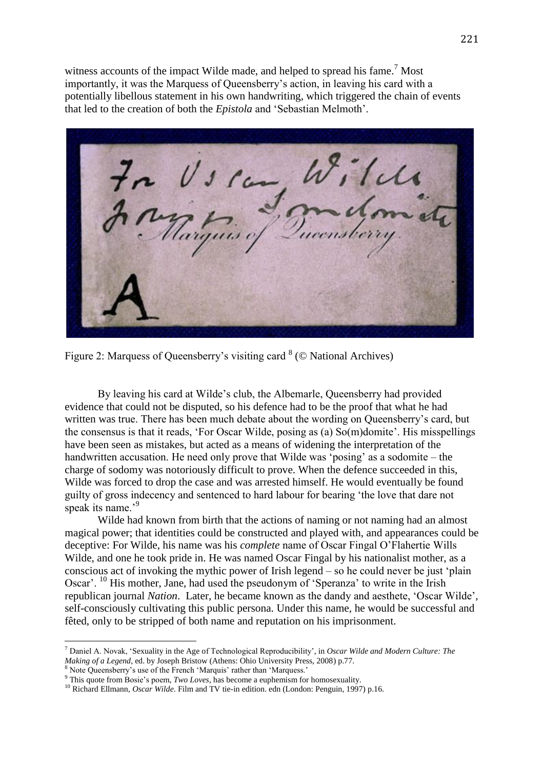witness accounts of the impact Wilde made, and helped to spread his fame.<sup>7</sup> Most importantly, it was the Marquess of Queensberry's action, in leaving his card with a potentially libellous statement in his own handwriting, which triggered the chain of events that led to the creation of both the *Epistola* and 'Sebastian Melmoth'.

Tels Us can

Figure 2: Marquess of Queensberry's visiting card  $8$  ( $\odot$  National Archives)

By leaving his card at Wilde's club, the Albemarle, Queensberry had provided evidence that could not be disputed, so his defence had to be the proof that what he had written was true. There has been much debate about the wording on Queensberry's card, but the consensus is that it reads, 'For Oscar Wilde, posing as (a) So(m)domite'. His misspellings have been seen as mistakes, but acted as a means of widening the interpretation of the handwritten accusation. He need only prove that Wilde was 'posing' as a sodomite – the charge of sodomy was notoriously difficult to prove. When the defence succeeded in this, Wilde was forced to drop the case and was arrested himself. He would eventually be found guilty of gross indecency and sentenced to hard labour for bearing 'the love that dare not speak its name.<sup>9</sup>

Wilde had known from birth that the actions of naming or not naming had an almost magical power; that identities could be constructed and played with, and appearances could be deceptive: For Wilde, his name was his *complete* name of Oscar Fingal O'Flahertie Wills Wilde, and one he took pride in. He was named Oscar Fingal by his nationalist mother, as a conscious act of invoking the mythic power of Irish legend – so he could never be just 'plain Oscar'. <sup>10</sup> His mother, Jane, had used the pseudonym of 'Speranza' to write in the Irish republican journal *Nation*. Later, he became known as the dandy and aesthete, 'Oscar Wilde', self-consciously cultivating this public persona. Under this name, he would be successful and fêted, only to be stripped of both name and reputation on his imprisonment.

<sup>7</sup> Daniel A. Novak, 'Sexuality in the Age of Technological Reproducibility', in *Oscar Wilde and Modern Culture: The Making of a Legend*, ed. by Joseph Bristow (Athens: Ohio University Press, 2008) p.77.

<sup>8</sup> Note Queensberry's use of the French 'Marquis' rather than 'Marquess.'

<sup>&</sup>lt;sup>9</sup> This quote from Bosie's poem, *Two Loves*, has become a euphemism for homosexuality.

<sup>&</sup>lt;sup>10</sup> Richard Ellmann, *Oscar Wilde*. Film and TV tie-in edition. edn (London: Penguin, 1997) p.16.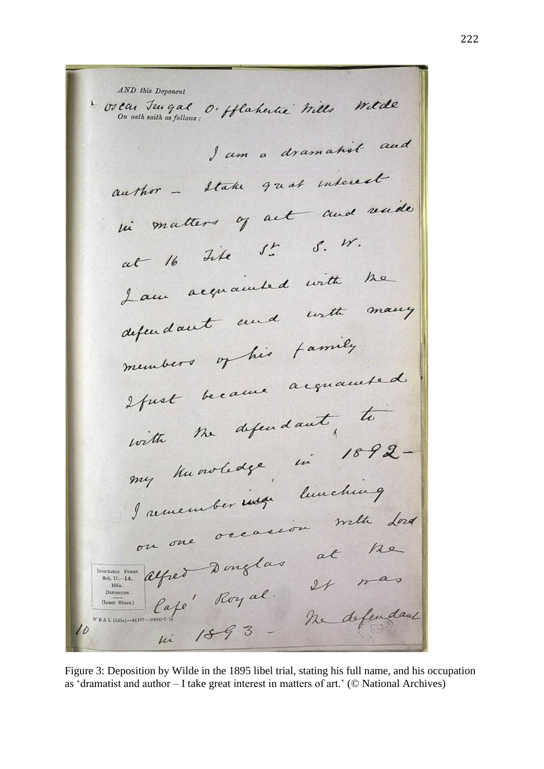AND this Deponent \* Orcan Jungal O. Ablahertre Mills Wilde I am a dramatist and author - State great interest in matters of act and vuide at 16 tite 5. 5. W. Laur acquainted with the Lau aux and with many superiors of his family memois de la proposition de la commente de with the defendant, to with me voledge, in 1892my numerouse de lunching Jamember and meth dond at the terresson et alfred Donglas esped Donglas<br>Cape Royal 24 mas<br>Cape Royal n. deleude DEPOSITION (Inner Sheet.) The defendant WB & L (521s)-41167-10000-7-24  $1893 \mu$ i

Figure 3: Deposition by Wilde in the 1895 libel trial, stating his full name, and his occupation as 'dramatist and author – I take great interest in matters of art.' (© National Archives)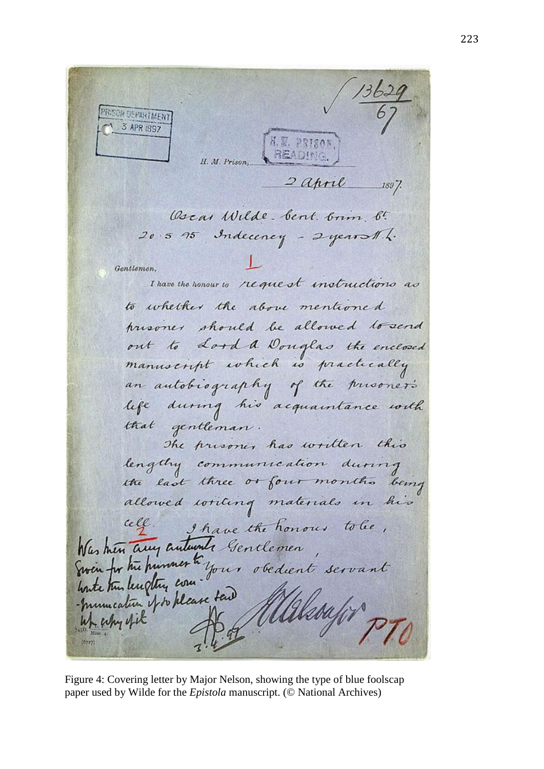PRISON DEPARTMENT 3 APR 1997 A. M. PRISON **READING** H. M. Prison.  $2$  april  $1897$ Oscar Wilde bent. brim b.  $20.5$  95 Indecency - 2 years the Gentlemen. I have the honour to request instructions as to whether the above mentioned presoner should be allowed to send out to Lord a Douglas the enclosed manuscript which is practically an autobiography of the presoner's life during his acquaintance with that gentleman. The presoner has written this lengthy communication during the last three or four months being allowed writing materials in his cele. I have the honour tobe, Was him any autumnts Gentlemen Was then any automate sentiemen,<br>Even for the hummer to your obedient servant -munication of to please tail up why ofit

Figure 4: Covering letter by Major Nelson, showing the type of blue foolscap paper used by Wilde for the *Epistola* manuscript. (© National Archives)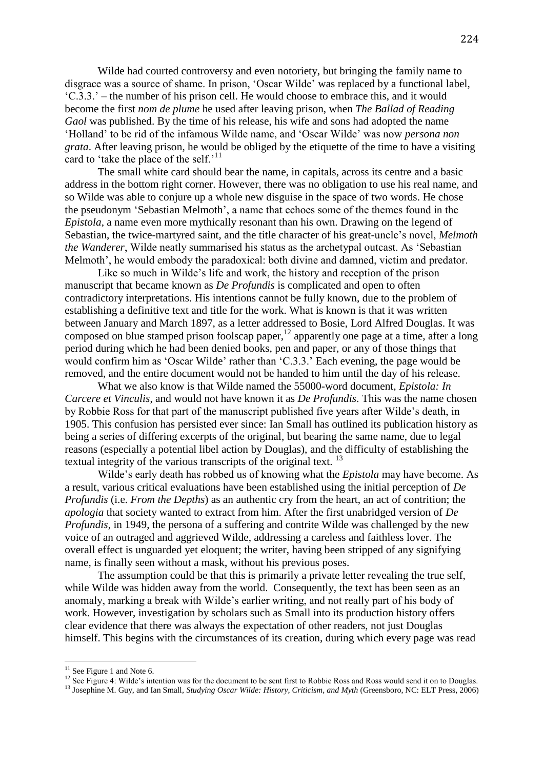Wilde had courted controversy and even notoriety, but bringing the family name to disgrace was a source of shame. In prison, 'Oscar Wilde' was replaced by a functional label, 'C.3.3.' – the number of his prison cell. He would choose to embrace this, and it would become the first *nom de plume* he used after leaving prison, when *The Ballad of Reading Gaol* was published. By the time of his release, his wife and sons had adopted the name 'Holland' to be rid of the infamous Wilde name, and 'Oscar Wilde' was now *persona non grata*. After leaving prison, he would be obliged by the etiquette of the time to have a visiting card to 'take the place of the self.'<sup>11</sup>

The small white card should bear the name, in capitals, across its centre and a basic address in the bottom right corner. However, there was no obligation to use his real name, and so Wilde was able to conjure up a whole new disguise in the space of two words. He chose the pseudonym 'Sebastian Melmoth', a name that echoes some of the themes found in the *Epistola*, a name even more mythically resonant than his own. Drawing on the legend of Sebastian, the twice-martyred saint, and the title character of his great-uncle's novel, *Melmoth the Wanderer*, Wilde neatly summarised his status as the archetypal outcast. As 'Sebastian Melmoth', he would embody the paradoxical: both divine and damned, victim and predator.

Like so much in Wilde's life and work, the history and reception of the prison manuscript that became known as *De Profundis* is complicated and open to often contradictory interpretations. His intentions cannot be fully known, due to the problem of establishing a definitive text and title for the work. What is known is that it was written between January and March 1897, as a letter addressed to Bosie, Lord Alfred Douglas. It was composed on blue stamped prison foolscap paper,<sup>12</sup> apparently one page at a time, after a long period during which he had been denied books, pen and paper, or any of those things that would confirm him as 'Oscar Wilde' rather than 'C.3.3.' Each evening, the page would be removed, and the entire document would not be handed to him until the day of his release.

What we also know is that Wilde named the 55000-word document, *Epistola: In Carcere et Vinculis*, and would not have known it as *De Profundis*. This was the name chosen by Robbie Ross for that part of the manuscript published five years after Wilde's death, in 1905. This confusion has persisted ever since: Ian Small has outlined its publication history as being a series of differing excerpts of the original, but bearing the same name, due to legal reasons (especially a potential libel action by Douglas), and the difficulty of establishing the textual integrity of the various transcripts of the original text.<sup>13</sup>

Wilde's early death has robbed us of knowing what the *Epistola* may have become. As a result, various critical evaluations have been established using the initial perception of *De Profundis* (i.e. *From the Depths*) as an authentic cry from the heart, an act of contrition; the *apologia* that society wanted to extract from him. After the first unabridged version of *De Profundis*, in 1949, the persona of a suffering and contrite Wilde was challenged by the new voice of an outraged and aggrieved Wilde, addressing a careless and faithless lover. The overall effect is unguarded yet eloquent; the writer, having been stripped of any signifying name, is finally seen without a mask, without his previous poses.

The assumption could be that this is primarily a private letter revealing the true self. while Wilde was hidden away from the world. Consequently, the text has been seen as an anomaly, marking a break with Wilde's earlier writing, and not really part of his body of work. However, investigation by scholars such as Small into its production history offers clear evidence that there was always the expectation of other readers, not just Douglas himself. This begins with the circumstances of its creation, during which every page was read

 $11$  See Figure 1 and Note 6.

<sup>&</sup>lt;sup>12</sup> See Figure 4: Wilde's intention was for the document to be sent first to Robbie Ross and Ross would send it on to Douglas.

<sup>&</sup>lt;sup>13</sup> Josephine M. Guy, and Ian Small, *Studying Oscar Wilde: History, Criticism, and Myth* (Greensboro, NC: ELT Press, 2006)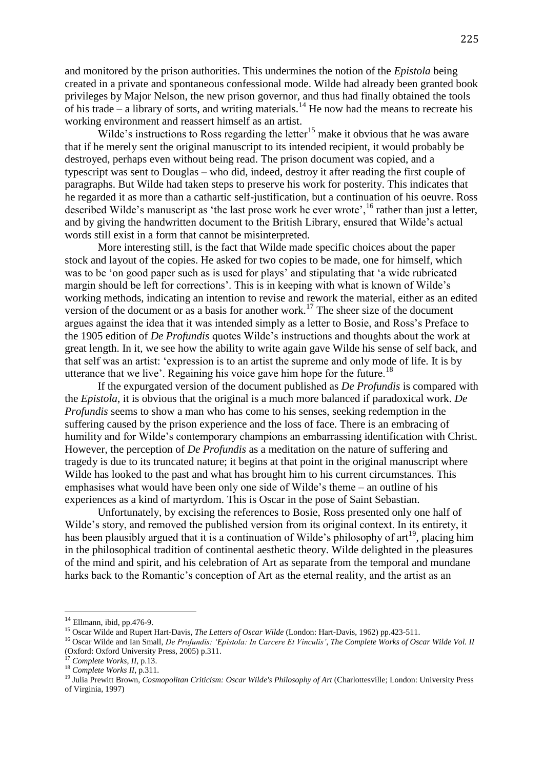and monitored by the prison authorities. This undermines the notion of the *Epistola* being created in a private and spontaneous confessional mode. Wilde had already been granted book privileges by Major Nelson, the new prison governor, and thus had finally obtained the tools of his trade – a library of sorts, and writing materials.<sup>14</sup> He now had the means to recreate his working environment and reassert himself as an artist.

Wilde's instructions to Ross regarding the letter<sup>15</sup> make it obvious that he was aware that if he merely sent the original manuscript to its intended recipient, it would probably be destroyed, perhaps even without being read. The prison document was copied, and a typescript was sent to Douglas – who did, indeed, destroy it after reading the first couple of paragraphs. But Wilde had taken steps to preserve his work for posterity. This indicates that he regarded it as more than a cathartic self-justification, but a continuation of his oeuvre. Ross described Wilde's manuscript as 'the last prose work he ever wrote',<sup>16</sup> rather than just a letter, and by giving the handwritten document to the British Library, ensured that Wilde's actual words still exist in a form that cannot be misinterpreted.

More interesting still, is the fact that Wilde made specific choices about the paper stock and layout of the copies. He asked for two copies to be made, one for himself, which was to be 'on good paper such as is used for plays' and stipulating that 'a wide rubricated margin should be left for corrections'. This is in keeping with what is known of Wilde's working methods, indicating an intention to revise and rework the material, either as an edited version of the document or as a basis for another work.<sup>17</sup> The sheer size of the document argues against the idea that it was intended simply as a letter to Bosie, and Ross's Preface to the 1905 edition of *De Profundis* quotes Wilde's instructions and thoughts about the work at great length. In it, we see how the ability to write again gave Wilde his sense of self back, and that self was an artist: 'expression is to an artist the supreme and only mode of life. It is by utterance that we live'. Regaining his voice gave him hope for the future.<sup>18</sup>

If the expurgated version of the document published as *De Profundis* is compared with the *Epistola*, it is obvious that the original is a much more balanced if paradoxical work. *De Profundis* seems to show a man who has come to his senses, seeking redemption in the suffering caused by the prison experience and the loss of face. There is an embracing of humility and for Wilde's contemporary champions an embarrassing identification with Christ. However, the perception of *De Profundis* as a meditation on the nature of suffering and tragedy is due to its truncated nature; it begins at that point in the original manuscript where Wilde has looked to the past and what has brought him to his current circumstances. This emphasises what would have been only one side of Wilde's theme – an outline of his experiences as a kind of martyrdom. This is Oscar in the pose of Saint Sebastian.

Unfortunately, by excising the references to Bosie, Ross presented only one half of Wilde's story, and removed the published version from its original context. In its entirety, it has been plausibly argued that it is a continuation of Wilde's philosophy of  $art^{19}$ , placing him in the philosophical tradition of continental aesthetic theory. Wilde delighted in the pleasures of the mind and spirit, and his celebration of Art as separate from the temporal and mundane harks back to the Romantic's conception of Art as the eternal reality, and the artist as an

 $14$  Ellmann, ibid, pp. 476-9.

<sup>&</sup>lt;sup>15</sup> Oscar Wilde and Rupert Hart-Davis, *The Letters of Oscar Wilde* (London: Hart-Davis, 1962) pp.423-511.

<sup>16</sup> Oscar Wilde and Ian Small, *De Profundis: 'Epistola: In Carcere Et Vinculis'*, *The Complete Works of Oscar Wilde Vol. II*  (Oxford: Oxford University Press, 2005) p.311.

<sup>17</sup> *Complete Works*, *II*, p.13.

<sup>18</sup> *Complete Works II*, p.311.

<sup>19</sup> Julia Prewitt Brown, *Cosmopolitan Criticism: Oscar Wilde's Philosophy of Art* (Charlottesville; London: University Press of Virginia, 1997)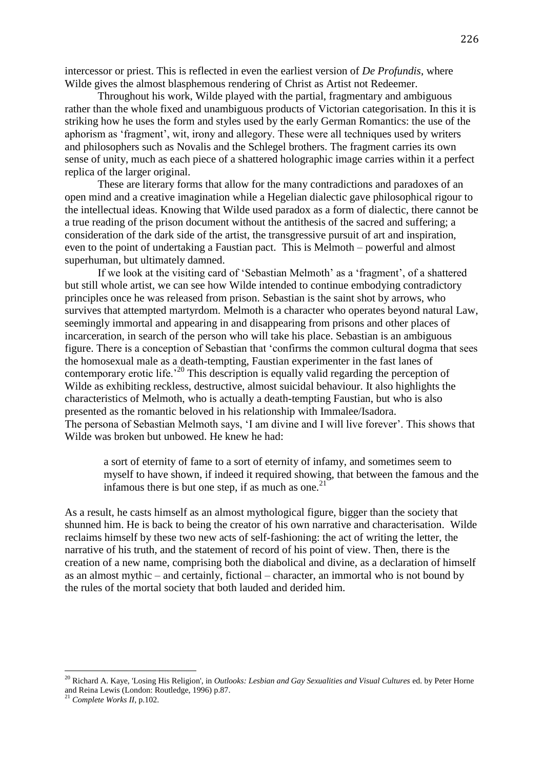intercessor or priest. This is reflected in even the earliest version of *De Profundis*, where Wilde gives the almost blasphemous rendering of Christ as Artist not Redeemer.

Throughout his work, Wilde played with the partial, fragmentary and ambiguous rather than the whole fixed and unambiguous products of Victorian categorisation. In this it is striking how he uses the form and styles used by the early German Romantics: the use of the aphorism as 'fragment', wit, irony and allegory. These were all techniques used by writers and philosophers such as Novalis and the Schlegel brothers. The fragment carries its own sense of unity, much as each piece of a shattered holographic image carries within it a perfect replica of the larger original.

These are literary forms that allow for the many contradictions and paradoxes of an open mind and a creative imagination while a Hegelian dialectic gave philosophical rigour to the intellectual ideas. Knowing that Wilde used paradox as a form of dialectic, there cannot be a true reading of the prison document without the antithesis of the sacred and suffering; a consideration of the dark side of the artist, the transgressive pursuit of art and inspiration, even to the point of undertaking a Faustian pact. This is Melmoth – powerful and almost superhuman, but ultimately damned.

If we look at the visiting card of 'Sebastian Melmoth' as a 'fragment', of a shattered but still whole artist, we can see how Wilde intended to continue embodying contradictory principles once he was released from prison. Sebastian is the saint shot by arrows, who survives that attempted martyrdom. Melmoth is a character who operates beyond natural Law, seemingly immortal and appearing in and disappearing from prisons and other places of incarceration, in search of the person who will take his place. Sebastian is an ambiguous figure. There is a conception of Sebastian that 'confirms the common cultural dogma that sees the homosexual male as a death-tempting, Faustian experimenter in the fast lanes of contemporary erotic life.<sup>'20</sup> This description is equally valid regarding the perception of Wilde as exhibiting reckless, destructive, almost suicidal behaviour. It also highlights the characteristics of Melmoth, who is actually a death-tempting Faustian, but who is also presented as the romantic beloved in his relationship with Immalee/Isadora. The persona of Sebastian Melmoth says, 'I am divine and I will live forever'. This shows that Wilde was broken but unbowed. He knew he had:

a sort of eternity of fame to a sort of eternity of infamy, and sometimes seem to myself to have shown, if indeed it required showing, that between the famous and the infamous there is but one step, if as much as one. $21$ 

As a result, he casts himself as an almost mythological figure, bigger than the society that shunned him. He is back to being the creator of his own narrative and characterisation. Wilde reclaims himself by these two new acts of self-fashioning: the act of writing the letter, the narrative of his truth, and the statement of record of his point of view. Then, there is the creation of a new name, comprising both the diabolical and divine, as a declaration of himself as an almost mythic – and certainly, fictional – character, an immortal who is not bound by the rules of the mortal society that both lauded and derided him.

<sup>20</sup> Richard A. Kaye, 'Losing His Religion', in *Outlooks: Lesbian and Gay Sexualities and Visual Cultures* ed. by Peter Horne and Reina Lewis (London: Routledge, 1996) p.87.

<sup>21</sup> *Complete Works II*, p.102.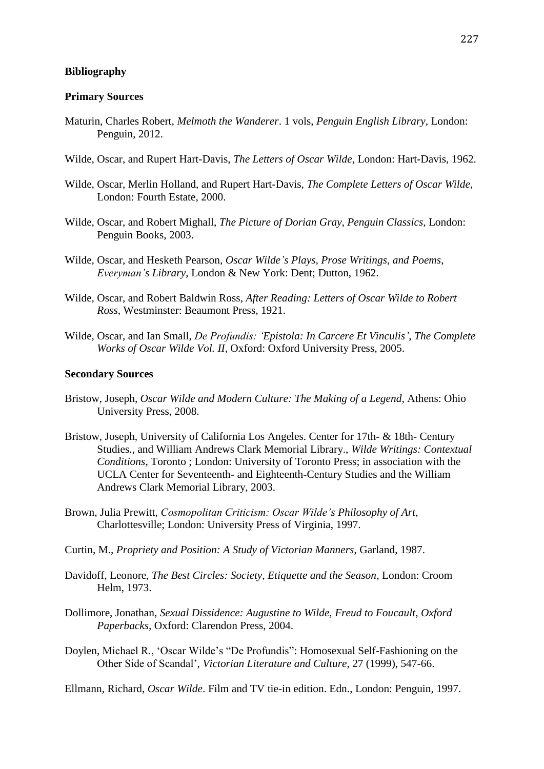### **Bibliography**

#### **Primary Sources**

- Maturin, Charles Robert, *Melmoth the Wanderer*. 1 vols, *Penguin English Library*, London: Penguin, 2012.
- Wilde, Oscar, and Rupert Hart-Davis, *The Letters of Oscar Wilde*, London: Hart-Davis, 1962.
- Wilde, Oscar, Merlin Holland, and Rupert Hart-Davis, *The Complete Letters of Oscar Wilde*, London: Fourth Estate, 2000.
- Wilde, Oscar, and Robert Mighall, *The Picture of Dorian Gray*, *Penguin Classics*, London: Penguin Books, 2003.
- Wilde, Oscar, and Hesketh Pearson, *Oscar Wilde's Plays, Prose Writings, and Poems*, *Everyman's Library*, London & New York: Dent; Dutton, 1962.
- Wilde, Oscar, and Robert Baldwin Ross, *After Reading: Letters of Oscar Wilde to Robert Ross*, Westminster: Beaumont Press, 1921.
- Wilde, Oscar, and Ian Small, *De Profundis: 'Epistola: In Carcere Et Vinculis'*, *The Complete Works of Oscar Wilde Vol. II*, Oxford: Oxford University Press, 2005.

### **Secondary Sources**

- Bristow, Joseph, *Oscar Wilde and Modern Culture: The Making of a Legend*, Athens: Ohio University Press, 2008.
- Bristow, Joseph, University of California Los Angeles. Center for 17th- & 18th- Century Studies., and William Andrews Clark Memorial Library., *Wilde Writings: Contextual Conditions*, Toronto ; London: University of Toronto Press; in association with the UCLA Center for Seventeenth- and Eighteenth-Century Studies and the William Andrews Clark Memorial Library, 2003.
- Brown, Julia Prewitt, *Cosmopolitan Criticism: Oscar Wilde's Philosophy of Art*, Charlottesville; London: University Press of Virginia, 1997.
- Curtin, M., *Propriety and Position: A Study of Victorian Manners*, Garland, 1987.
- Davidoff, Leonore, *The Best Circles: Society, Etiquette and the Season*, London: Croom Helm, 1973.
- Dollimore, Jonathan, *Sexual Dissidence: Augustine to Wilde, Freud to Foucault*, *Oxford Paperbacks*, Oxford: Clarendon Press, 2004.
- Doylen, Michael R., 'Oscar Wilde's "De Profundis": Homosexual Self-Fashioning on the Other Side of Scandal', *Victorian Literature and Culture,* 27 (1999), 547-66.

Ellmann, Richard, *Oscar Wilde*. Film and TV tie-in edition. Edn., London: Penguin, 1997.